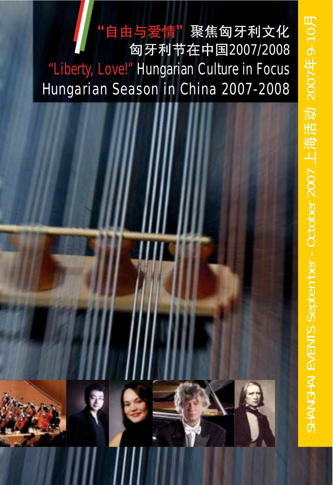# 自由与爱情"聚焦匈牙利文化 匈牙利节在2007/2008 "Liberty, Love!" Hungarian Culture in Focus Hungarian Season in China 2007-2008

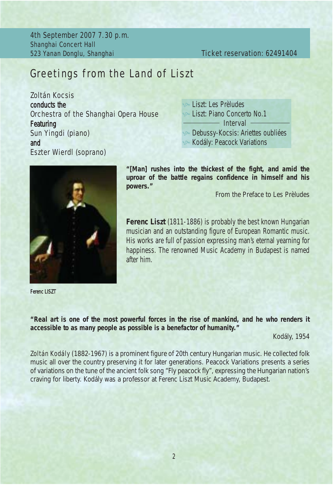4th September 2007 7.30 p.m. Shanghai Concert Hall 523 Yanan Donglu, Shanghai Ticket reservation: 62491404

## *Greetings from the Land of Liszt*

Zoltán Kocsis conducts the Orchestra of the Shanghai Opera House Featuring Sun Yingdi (piano) and Eszter Wierdl (soprano)





Ferenc LISZT

*"[Man] rushes into the thickest of the fight, and amid the uproar of the battle regains confidence in himself and his powers."*

From the Preface to *Les Prèludes*

Ferenc Liszt (1811-1886) is probably the best known Hungarian musician and an outstanding figure of European Romantic music. His works are full of passion expressing man's eternal yearning for happiness. The renowned Music Academy in Budapest is named after him.

*"Real art is one of the most powerful forces in the rise of mankind, and he who renders it accessible to as many people as possible is a benefactor of humanity."*

Kodály, 1954

Zoltán Kodály (1882-1967) is a prominent figure of 20th century Hungarian music. He collected folk music all over the country preserving it for later generations. Peacock Variations presents a series of variations on the tune of the ancient folk song "Fly peacock fly", expressing the Hungarian nation's craving for liberty. Kodály was a professor at Ferenc Liszt Music Academy, Budapest.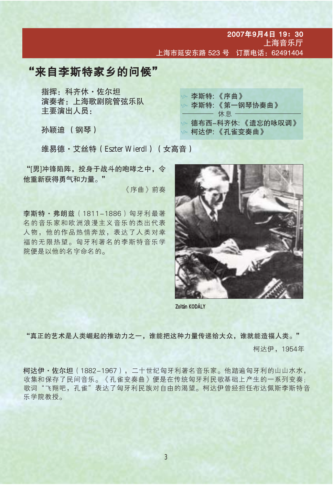2007年9月4日 19:30 上海音乐厅 上海市延安东路 523 号 订票电话: 62491404

## "来自李斯特家乡的问候"

指挥: 科齐休 · 佐尔坦 演奏者: 上海歌剧院管弦乐队 主要演出人员:

孙颖迪 (钢琴)

| ນ 李斯特: 《序曲》         |
|---------------------|
| ☞ 李斯特: 《第一钢琴协奏曲》    |
|                     |
| ☞ 德布西–科齐休: 《遗忘的咏叹调》 |
| ◎ 柯达伊:《孔雀变奏曲》       |
|                     |

维易德·艾丝特 (Eszter Wierdl) (女高音)

"[男]冲锋陷阵,投身于战斗的咆哮之中,令 他重新获得勇气和力量。"

《序曲》前奏

李斯特·弗朗兹 (1811-1886) 匈牙利最著 名的音乐家和欧洲浪漫主义音乐的杰出代表 人物, 他的作品热情奔放, 表达了人类对幸 福的无限热望。匈牙利著名的李斯特音乐学 院便是以他的名字命名的。



Zoltán KODÁLY

"真正的艺术是人类崛起的推动力之一,谁能把这种力量传递给大众,谁就能造福人类。"

柯达伊, 1954年

柯达伊·佐尔坦 (1882-1967), 二十世纪匈牙利著名音乐家。他踏遍匈牙利的山山水水, 收集和保存了民间音乐。《孔雀变奏曲》便是在传统匈牙利民歌基础上产生的一系列变奏; 歌词"飞翔吧,孔雀"表达了匈牙利民族对自由的渴望。柯达伊曾经担任布达佩斯李斯特音 乐学院教授。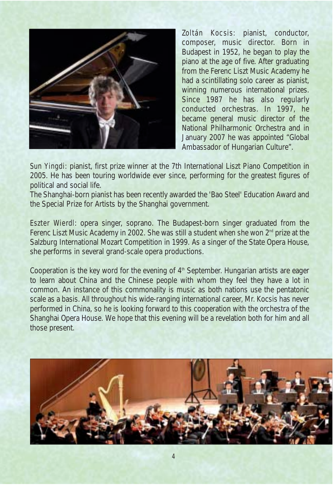

Zoltán Kocsis: pianist, conductor, composer, music director. Born in Budapest in 1952, he began to play the piano at the age of five. After graduating from the Ferenc Liszt Music Academy he had a scintillating solo career as pianist, winning numerous international prizes. Since 1987 he has also regularly conducted orchestras. In 1997, he became general music director of the National Philharmonic Orchestra and in January 2007 he was appointed "Global Ambassador of Hungarian Culture".

Sun Yingdi: pianist, first prize winner at the 7th International Liszt Piano Competition in 2005. He has been touring worldwide ever since, performing for the greatest figures of political and social life.

The Shanghai-born pianist has been recently awarded the 'Bao Steel' Education Award and the Special Prize for Artists by the Shanghai government.

**Eszter Wierdl**: opera singer, soprano. The Budapest-born singer graduated from the Ferenc Liszt Music Academy in 2002. She was still a student when she won  $2^{nd}$  prize at the Salzburg International Mozart Competition in 1999. As a singer of the State Opera House, she performs in several grand-scale opera productions.

Cooperation is the key word for the evening of 4<sup>th</sup> September. Hungarian artists are eager to learn about China and the Chinese people with whom they feel they have a lot in common. An instance of this commonality is music as both nations use the pentatonic scale as a basis. All throughout his wide-ranging international career, Mr. Kocsis has never performed in China, so he is looking forward to this cooperation with the orchestra of the Shanghai Opera House. We hope that this evening will be a revelation both for him and all those present.

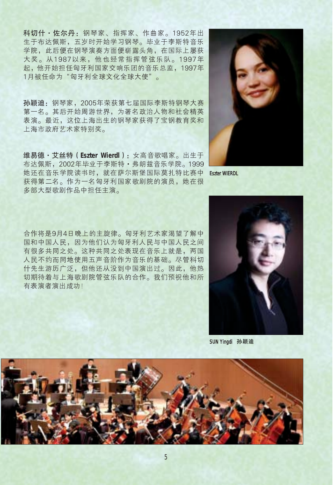科切什·佐尔丹: 钢琴家、指挥家、作曲家。1952年出 生于布达佩斯, 五岁时开始学习钢琴。毕业于李斯特音乐 学院, 此后便在钢琴演奏方面便崭露头角, 在国际上屡获 大奖。从1987以来, 他也经常指挥管弦乐队。1997年 起,他开始担任匈牙利国家交响乐团的音乐总监, 1997年 1月被任命为"匈牙利全球文化全球大使"。

孙颖迪: 钢琴家, 2005年荣获第七届国际李斯特钢琴大赛 第一名。其后开始周游世界,为著名政治人物和社会精英 表演。最近, 这位上海出生的钢琴家获得了宝钢教育奖和 上海市政府艺术家特别奖。

维易德·艾丝特 (Eszter Wierdl): 女高音歌唱家。出生于 布达佩斯, 2002年毕业于李斯特 · 弗朗兹音乐学院。1999 她还在音乐学院读书时, 就在萨尔斯堡国际莫扎特比赛中 获得第二名。作为一名匈牙利国家歌剧院的演员,她在很 多部大型歌剧作品中担任主演。

**Eszter WIERDL** 

合作将是9月4日晚上的主旋律。匈牙利艺术家渴望了解中 国和中国人民,因为他们认为匈牙利人民与中国人民之间 有很多共同之处。这种共同之处表现在音乐上就是, 两国 人民不约而同地使用五声音阶作为音乐的基础。尽管科切 什先生游历广泛,但他还从没到中国演出过。因此,他热 切期待着与上海歌剧院管弦乐队的合作。我们预祝他和所 有表演者演出成功!



SUN Yingdi 孙颖迪

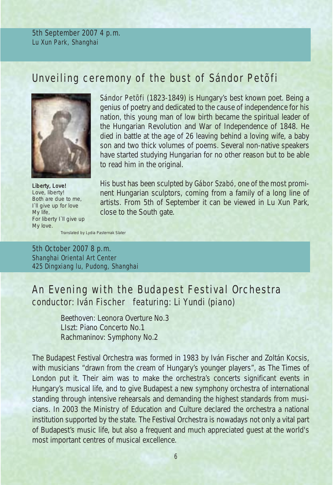5th September 2007 4 p.m. Lu Xun Park, Shanghai

## *Unveiling ceremony of the bust of Sándor Petõfi*



*Liberty, Love! Love, liberty! Both are due to me, I`ll give up for love My life, For liberty I`ll give up My love.* 

Sándor Petőfi (1823-1849) is Hungary's best known poet. Being a genius of poetry and dedicated to the cause of independence for his nation, this young man of low birth became the spiritual leader of the Hungarian Revolution and War of Independence of 1848. He died in battle at the age of 26 leaving behind a loving wife, a baby son and two thick volumes of poems. Several non-native speakers have started studying Hungarian for no other reason but to be able to read him in the original.

His bust has been sculpted by Gábor Szabó, one of the most prominent Hungarian sculptors, coming from a family of a long line of artists. From 5th of September it can be viewed in Lu Xun Park, close to the South gate.

*Translated by Lydia Pasternak Slater*

5th October 2007 8 p.m. Shanghai Oriental Art Center 425 Dingxiang lu, Pudong, Shanghai

# *An Evening with the Budapest Festival Orchestra* conductor: Iván Fischer featuring: Li Yundi (piano)

Beethoven: *Leonora Overture No.3* LIszt: *Piano Concerto No.1* Rachmaninov: *Symphony No.2*

The Budapest Festival Orchestra was formed in 1983 by Iván Fischer and Zoltán Kocsis, with musicians "drawn from the cream of Hungary's younger players", as The Times of London put it. Their aim was to make the orchestra's concerts significant events in Hungary's musical life, and to give Budapest a new symphony orchestra of international standing through intensive rehearsals and demanding the highest standards from musicians. In 2003 the Ministry of Education and Culture declared the orchestra a national institution supported by the state. The Festival Orchestra is nowadays not only a vital part of Budapest's music life, but also a frequent and much appreciated guest at the world's most important centres of musical excellence.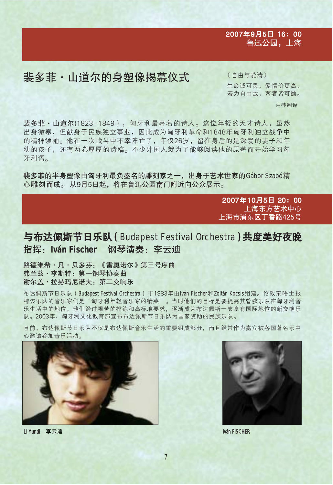#### 2007年9月5日 16: 00 鲁迅公园,上海

## 裴多菲·山道尔的身塑像揭幕仪式

《自由与爱清》 生命诚可贵, 爱情价更高, 若为自由故, 两者皆可抛。

白莽翻译

裴多菲·山道尔(1823-1849), 匈牙利最著名的诗人。这位年轻的天才诗人, 虽然 出身微寒,但献身于民族独立事业,因此成为匈牙利革命和1848年匈牙利独立战争中 的精神领袖。他在一次战斗中不幸阵亡了,年仅26岁,留在身后的是深爱的妻子和年 幼的孩子,还有两卷厚厚的诗稿。不少外国人就为了能够阅读他的原著而开始学习匈 牙利语。

裴多菲的半身塑像由匈牙利最负盛名的雕刻家之一, 出身于艺术世家的Gábor Szabó精 心雕刻而成。从9月5日起,将在鲁迅公园南门附近向公众展示。

> 2007年10月5日 20:00 上海东方艺术中心 上海市浦东区丁香路425号

## 与布达佩斯节日乐队 (Budapest Festival Orchestra)共度美好夜晚 指挥: Iván Fischer 钢琴演奏: 李云迪

路德维希 · 凡 · 贝多芬: 《雷奥诺尔》第三号序曲 弗兰兹 · 李斯特: 第一钢琴协奏曲 谢尔盖・拉赫玛尼诺夫: 第二交响乐

布达佩斯节日乐队 (Budapest Festival Orchestra) 于1983年由Iván Fischer和Zoltán Kocsis组建。伦敦泰晤士报 称该乐队的音乐家们是"匈牙利年轻音乐家的精英"。当时他们的目标是要提高其管弦乐队在匈牙利音 乐生活中的地位,他们经过艰苦的排练和高标准要求,逐渐成为布达佩斯一支享有国际地位的新交响乐 队。2003年,匈牙利文化教育部宣布布达佩斯节日乐队为国家资助的民族乐队。

目前,布达佩斯节日乐队不仅是布达佩斯音乐生活的重要组成部分,而且经常作为嘉宾被各国著名乐中 心邀请参加音乐活动。





Iván FISCHER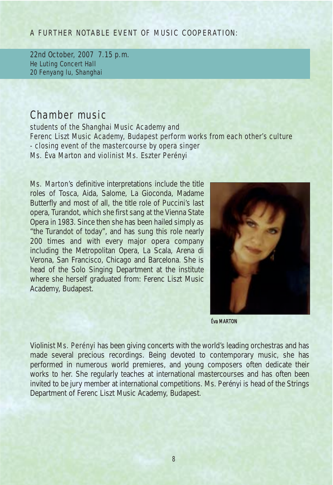#### A FURTHER NOTABLE EVENT OF MUSIC COOPERATION:

22nd October, 2007 7.15 p.m. He Luting Concert Hall 20 Fenyang lu, Shanghai

## *Chamber music*

students of the Shanghai Music Academy and Ferenc Liszt Music Academy, Budapest perform works from each other's culture - closing event of the mastercourse by opera singer Ms. Éva Marton and violinist Ms. Eszter Perényi

Ms. Marton's definitive interpretations include the title roles of Tosca, Aida, Salome, La Gioconda, Madame Butterfly and most of all, the title role of Puccini's last opera, Turandot, which she first sang at the Vienna State Opera in 1983. Since then she has been hailed simply as "the Turandot of today", and has sung this role nearly 200 times and with every major opera company including the Metropolitan Opera, La Scala, Arena di Verona, San Francisco, Chicago and Barcelona. She is head of the Solo Singing Department at the institute where she herself graduated from: Ferenc Liszt Music Academy, Budapest.



Éva MARTON

Violinist Ms. Perényi has been giving concerts with the world's leading orchestras and has made several precious recordings. Being devoted to contemporary music, she has performed in numerous world premieres, and young composers often dedicate their works to her. She regularly teaches at international mastercourses and has often been invited to be jury member at international competitions. Ms. Perényi is head of the Strings Department of Ferenc Liszt Music Academy, Budapest.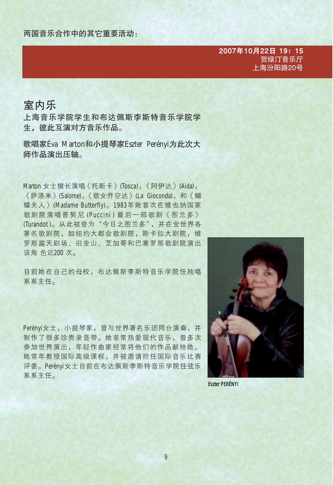2007年10月22日 19: 15 贺绿汀音乐厅 上海汾阳路20号

#### 室内乐

上海音乐学院学生和布达佩斯李斯特音乐学院学 生,彼此互演对方音乐作品。

歌唱家Éva Marton和小提琴家Eszter Perényi为此次大 师作品演出压轴。

Marton 女士擅长演唱《托斯卡》(Tosca), 《阿伊达》(Aida), 《萨洛米》(Salome),《歌女乔空达》(La Gioconda), 和《蝴 蝶夫人》(Madame Butterfly)。1983年她首次在维也纳国家 歌剧院演唱普契尼(Puccini)最后一部歌剧《图兰多》 (Turandot)。从此被誉为"今日之图兰多",并在全世界各 著名歌剧院, 如纽约大都会歌剧院, 斯卡拉大剧院, 维 罗那露天剧场、旧金山、芝加哥和巴塞罗那歌剧院演出 该角色近200次。

目前她在自己的母校,布达佩斯李斯特音乐学院任独唱 系系主任。

Perénvi女士, 小提琴家, 曾与世界著名乐团同台演奏, 并 制作了很多珍贵录音带。她非常热爱现代音乐, 曾多次 参加世界演出,年轻作曲家经常将他们的作品献给她。 她常年教授国际高级课程,并被邀请担任国际音乐比赛 评委。Perényi女士目前在布达佩斯李斯特音乐学院任弦乐 系系主任。



**Eszter PERÉNYI**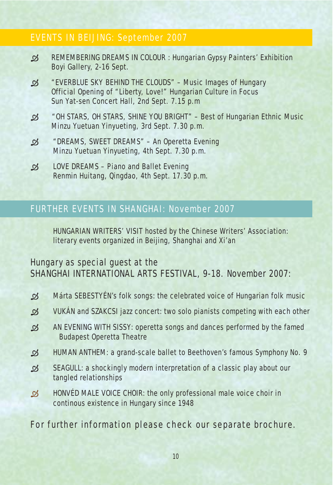#### EVENTS IN BEIJING: September 2007

- *REMEMBERING DREAMS IN COLOUR* : Hungarian Gypsy Painters' Exhibition Boyi Gallery, 2-16 Sept.
- *"EVERBLUE SKY BEHIND THE CLOUDS"* Music Images of Hungary Official Opening of "Liberty, Love!" Hungarian Culture in Focus Sun Yat-sen Concert Hall, 2nd Sept. 7.15 p.m
- *"OH STARS, OH STARS, SHINE YOU BRIGHT"* Best of Hungarian Ethnic Music Minzu Yuetuan Yinyueting, 3rd Sept. 7.30 p.m.
- *"DREAMS, SWEET DREAMS"* An Operetta Evening Minzu Yuetuan Yinyueting, 4th Sept. 7.30 p.m.
- *LOVE DREAMS* Piano and Ballet Evening Renmin Huitang, Qingdao, 4th Sept. 17.30 p.m.

### FURTHER EVENTS IN SHANGHAI: November 2007

HUNGARIAN WRITERS' VISIT hosted by the Chinese Writers' Association: literary events organized in Beijing, Shanghai and Xi'an

Hungary as special guest at the SHANGHAI INTERNATIONAL ARTS FESTIVAL, 9-18. November 2007:

- $\mathcal{D}$  Márta SEBESTYÉN's folk songs: the celebrated voice of Hungarian folk music
- $\mathcal{A}$  VUKÁN and SZAKCSI jazz concert: two solo pianists competing with each other
- *AN EVENING WITH SISSY:* operetta songs and dances performed by the famed Budapest Operetta Theatre
- **EXECUTE:** A grand-scale ballet to Beethoven's famous Symphony No. 9
- SEAGULL: a shockingly modern interpretation of a classic play about our tangled relationships
- $\mathfrak{B}$  HONVÉD MALE VOICE CHOIR: the only professional male voice choir in continous existence in Hungary since 1948

For further information please check our separate brochure.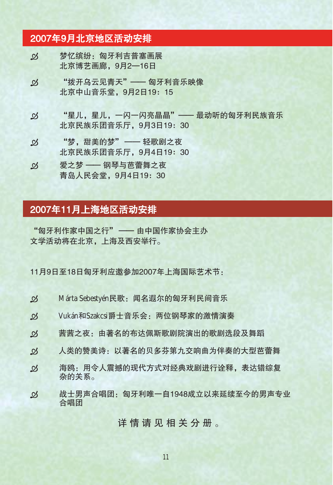#### 2007年9月北京地区活动安排

- 梦忆缤纷: 匈牙利吉普塞画展  $\mathfrak{B}$ 北京博艺画廊, 9月2-16日
- "拨开乌云见青天" —— 匈牙利音乐映像  $\mathfrak{B}$ 北京中山音乐堂, 9月2日19: 15
- "星儿, 星儿, 一闪一闪亮晶晶" -- 最动听的匈牙利民族音乐  $\mathcal{B}$ 北京民族乐团音乐厅, 9月3日19: 30
- "梦,甜美的梦" 轻歌剧之夜  $\mathfrak{R}$ 北京民族乐团音乐厅, 9月4日19: 30
- 爱之梦 —— 钢琴与芭蕾舞之夜  $\mathfrak{B}$ 青岛人民会堂, 9月4日19: 30

## 2007年11月上海地区活动安排

"匈牙利作家中国之行" - 由中国作家协会主办 文学活动将在北京,上海及西安举行。

11月9日至18日匈牙利应激参加2007年上海国际艺术节:

- $\mathcal{B}$ Márta Sebestyén民歌:闻名遐尔的匈牙利民间音乐
- Vukán和Szakcsi爵士音乐会: 两位钢琴家的激情演奏  $\mathfrak{B}$
- 茜茜之夜: 由著名的布达佩斯歌剧院演出的歌剧选段及舞蹈  $\mathfrak{R}$
- 人类的赞美诗:以著名的贝多芬第九交响曲为伴奏的大型芭蕾舞  $\mathfrak{B}$
- $\mathfrak{B}$ 海鸥:用今人震撼的现代方式对经典戏剧进行诠释,表达错综复 杂的关系。
- 战士男声合唱团: 匈牙利唯一自1948成立以来延续至今的男声专业  $\mathfrak{B}$ 合唱团

详情请见相关分册。